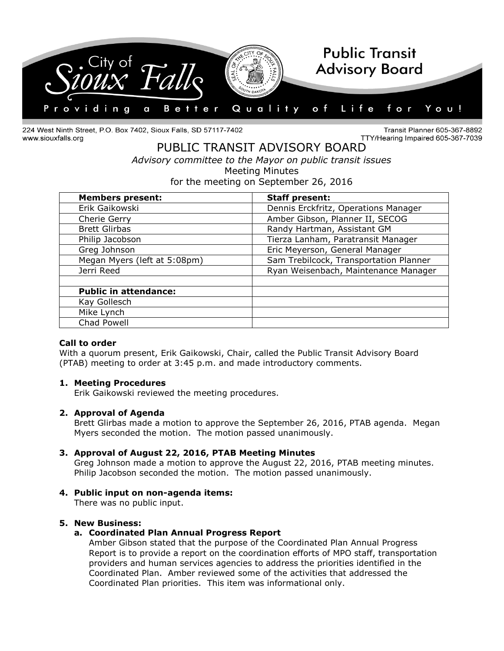

224 West Ninth Street, P.O. Box 7402, Sioux Falls, SD 57117-7402 www.siouxfalls.org

Transit Planner 605-367-8892 TTY/Hearing Impaired 605-367-7039

# PUBLIC TRANSIT ADVISORY BOARD *Advisory committee to the Mayor on public transit issues* Meeting Minutes for the meeting on September 26, 2016

| <b>Members present:</b>      | <b>Staff present:</b>                  |
|------------------------------|----------------------------------------|
| Erik Gaikowski               | Dennis Erckfritz, Operations Manager   |
| Cherie Gerry                 | Amber Gibson, Planner II, SECOG        |
| <b>Brett Glirbas</b>         | Randy Hartman, Assistant GM            |
| Philip Jacobson              | Tierza Lanham, Paratransit Manager     |
| Greg Johnson                 | Eric Meyerson, General Manager         |
| Megan Myers (left at 5:08pm) | Sam Trebilcock, Transportation Planner |
| Jerri Reed                   | Ryan Weisenbach, Maintenance Manager   |
|                              |                                        |
| <b>Public in attendance:</b> |                                        |
| Kay Gollesch                 |                                        |
| Mike Lynch                   |                                        |
| Chad Powell                  |                                        |

# **Call to order**

With a quorum present, Erik Gaikowski, Chair, called the Public Transit Advisory Board (PTAB) meeting to order at 3:45 p.m. and made introductory comments.

### **1. Meeting Procedures**

Erik Gaikowski reviewed the meeting procedures.

### **2. Approval of Agenda**

Brett Glirbas made a motion to approve the September 26, 2016, PTAB agenda. Megan Myers seconded the motion. The motion passed unanimously.

# **3. Approval of August 22, 2016, PTAB Meeting Minutes**

Greg Johnson made a motion to approve the August 22, 2016, PTAB meeting minutes. Philip Jacobson seconded the motion. The motion passed unanimously.

# **4. Public input on non-agenda items:**

There was no public input.

### **5. New Business:**

### **a. Coordinated Plan Annual Progress Report**

Amber Gibson stated that the purpose of the Coordinated Plan Annual Progress Report is to provide a report on the coordination efforts of MPO staff, transportation providers and human services agencies to address the priorities identified in the Coordinated Plan. Amber reviewed some of the activities that addressed the Coordinated Plan priorities. This item was informational only.